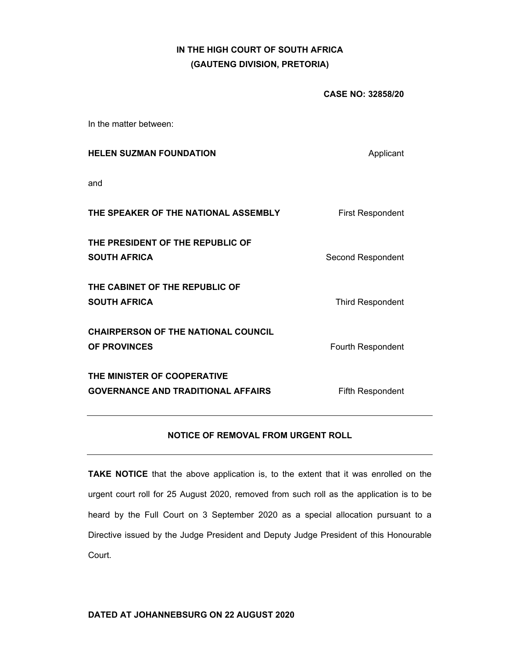## **IN THE HIGH COURT OF SOUTH AFRICA (GAUTENG DIVISION, PRETORIA)**

**CASE NO: 32858/20** 

In the matter between:

| <b>HELEN SUZMAN FOUNDATION</b>                                           | Applicant               |
|--------------------------------------------------------------------------|-------------------------|
| and                                                                      |                         |
| THE SPEAKER OF THE NATIONAL ASSEMBLY                                     | <b>First Respondent</b> |
| THE PRESIDENT OF THE REPUBLIC OF<br><b>SOUTH AFRICA</b>                  | Second Respondent       |
| THE CABINET OF THE REPUBLIC OF<br><b>SOUTH AFRICA</b>                    | <b>Third Respondent</b> |
| <b>CHAIRPERSON OF THE NATIONAL COUNCIL</b><br><b>OF PROVINCES</b>        | Fourth Respondent       |
| THE MINISTER OF COOPERATIVE<br><b>GOVERNANCE AND TRADITIONAL AFFAIRS</b> | <b>Fifth Respondent</b> |

## **NOTICE OF REMOVAL FROM URGENT ROLL**

**TAKE NOTICE** that the above application is, to the extent that it was enrolled on the urgent court roll for 25 August 2020, removed from such roll as the application is to be heard by the Full Court on 3 September 2020 as a special allocation pursuant to a Directive issued by the Judge President and Deputy Judge President of this Honourable Court.